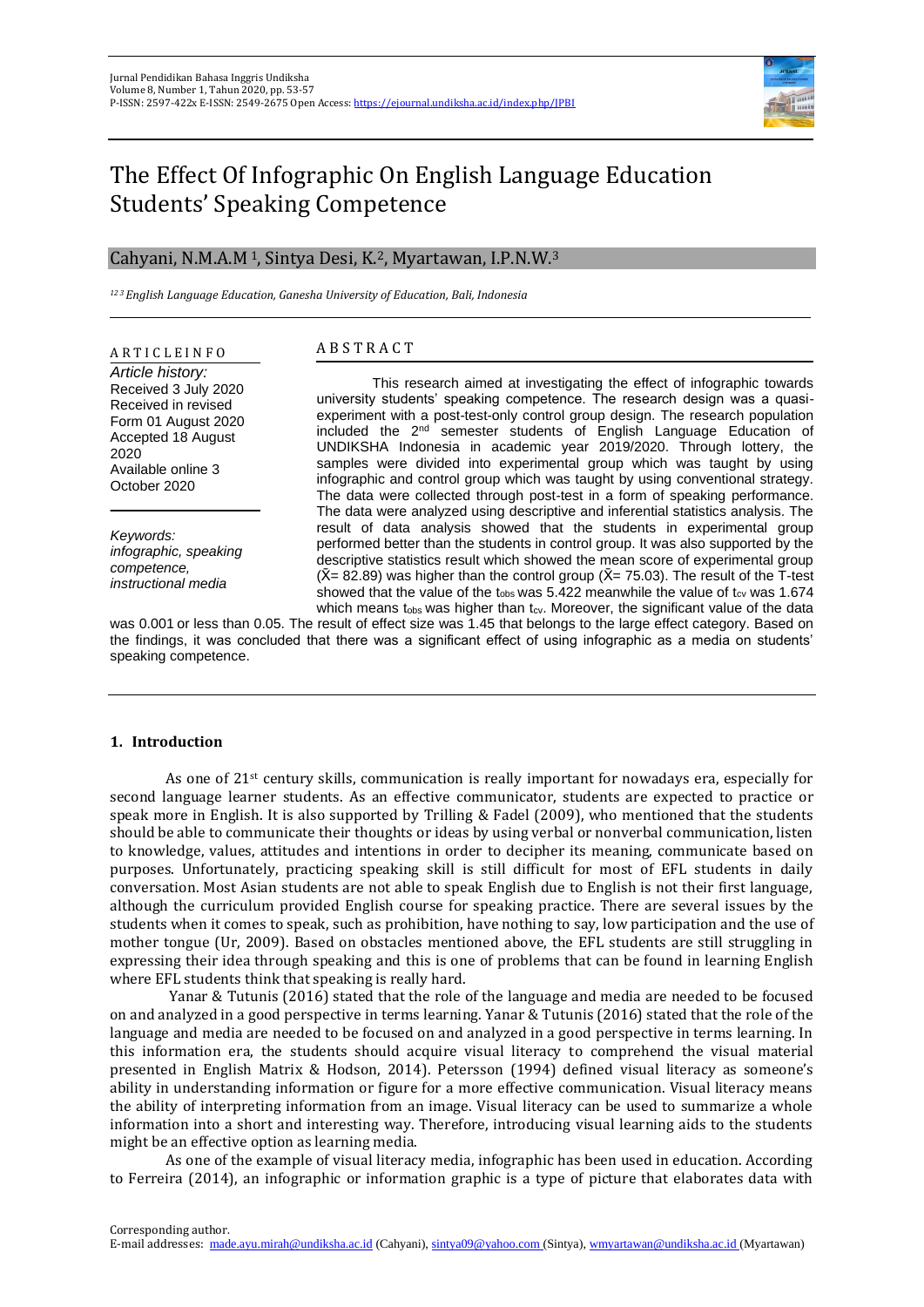

# The Effect Of Infographic On English Language Education Students' Speaking Competence

# Cahyani, N.M.A.M <sup>1</sup>, Sintya Desi, K.2, Myartawan, I.P.N.W.<sup>3</sup>

*<sup>12</sup> <sup>3</sup>English Language Education, Ganesha University of Education, Bali, Indonesia*

# A R T I C L E I N F O

*Article history:* Received 3 July 2020 Received in revised Form 01 August 2020 Accepted 18 August 2020 Available online 3 October 2020

*Keywords: infographic, speaking competence, instructional media*

# A B S T R A C T

This research aimed at investigating the effect of infographic towards university students' speaking competence. The research design was a quasiexperiment with a post-test-only control group design. The research population included the 2nd semester students of English Language Education of UNDIKSHA Indonesia in academic year 2019/2020. Through lottery, the samples were divided into experimental group which was taught by using infographic and control group which was taught by using conventional strategy. The data were collected through post-test in a form of speaking performance. The data were analyzed using descriptive and inferential statistics analysis. The result of data analysis showed that the students in experimental group performed better than the students in control group. It was also supported by the descriptive statistics result which showed the mean score of experimental group  $(X= 82.89)$  was higher than the control group  $(X= 75.03)$ . The result of the T-test showed that the value of the t<sub>obs</sub> was 5.422 meanwhile the value of t<sub>cy</sub> was 1.674 which means  $t_{obs}$  was higher than  $t_{cv}$ . Moreover, the significant value of the data

was 0.001 or less than 0.05. The result of effect size was 1.45 that belongs to the large effect category. Based on the findings, it was concluded that there was a significant effect of using infographic as a media on students' speaking competence.

# **1. Introduction**

As one of 21st century skills, communication is really important for nowadays era, especially for second language learner students. As an effective communicator, students are expected to practice or speak more in English. It is also supported by Trilling & Fadel (2009), who mentioned that the students should be able to communicate their thoughts or ideas by using verbal or nonverbal communication, listen to knowledge, values, attitudes and intentions in order to decipher its meaning, communicate based on purposes. Unfortunately, practicing speaking skill is still difficult for most of EFL students in daily conversation. Most Asian students are not able to speak English due to English is not their first language, although the curriculum provided English course for speaking practice. There are several issues by the students when it comes to speak, such as prohibition, have nothing to say, low participation and the use of mother tongue (Ur, 2009). Based on obstacles mentioned above, the EFL students are still struggling in expressing their idea through speaking and this is one of problems that can be found in learning English where EFL students think that speaking is really hard.

Yanar & Tutunis (2016) stated that the role of the language and media are needed to be focused on and analyzed in a good perspective in terms learning. Yanar & Tutunis (2016) stated that the role of the language and media are needed to be focused on and analyzed in a good perspective in terms learning. In this information era, the students should acquire visual literacy to comprehend the visual material presented in English Matrix & Hodson, 2014). Petersson (1994) defined visual literacy as someone's ability in understanding information or figure for a more effective communication. Visual literacy means the ability of interpreting information from an image. Visual literacy can be used to summarize a whole information into a short and interesting way. Therefore, introducing visual learning aids to the students might be an effective option as learning media.

As one of the example of visual literacy media, infographic has been used in education. According to Ferreira (2014), an infographic or information graphic is a type of picture that elaborates data with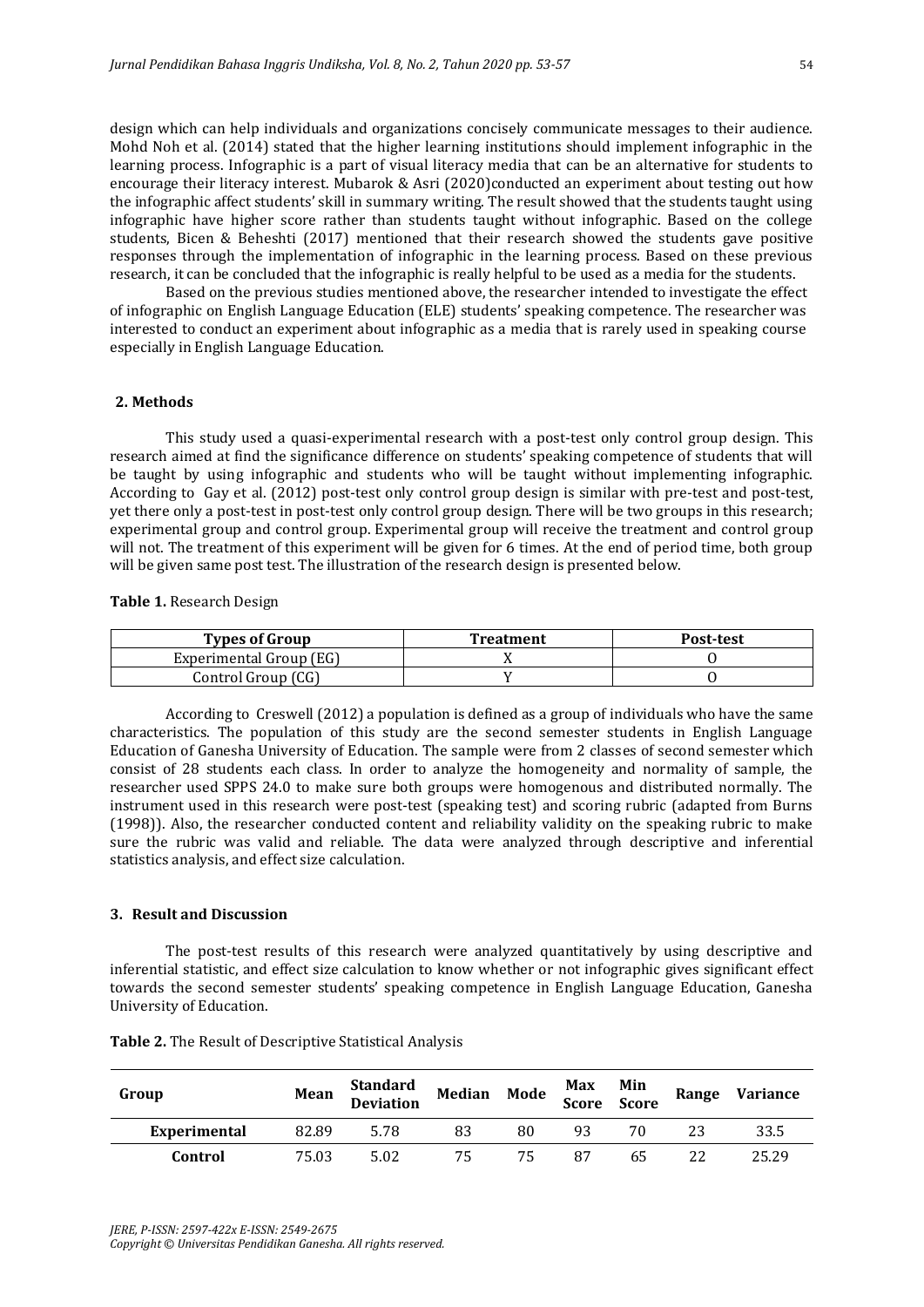design which can help individuals and organizations concisely communicate messages to their audience. Mohd Noh et al. (2014) stated that the higher learning institutions should implement infographic in the learning process. Infographic is a part of visual literacy media that can be an alternative for students to encourage their literacy interest. Mubarok & Asri (2020)conducted an experiment about testing out how the infographic affect students' skill in summary writing. The result showed that the students taught using infographic have higher score rather than students taught without infographic. Based on the college students, Bicen & Beheshti (2017) mentioned that their research showed the students gave positive responses through the implementation of infographic in the learning process. Based on these previous research, it can be concluded that the infographic is really helpful to be used as a media for the students.

Based on the previous studies mentioned above, the researcher intended to investigate the effect of infographic on English Language Education (ELE) students' speaking competence. The researcher was interested to conduct an experiment about infographic as a media that is rarely used in speaking course especially in English Language Education.

#### **2. Methods**

This study used a quasi-experimental research with a post-test only control group design. This research aimed at find the significance difference on students' speaking competence of students that will be taught by using infographic and students who will be taught without implementing infographic. According to Gay et al. (2012) post-test only control group design is similar with pre-test and post-test, yet there only a post-test in post-test only control group design. There will be two groups in this research; experimental group and control group. Experimental group will receive the treatment and control group will not. The treatment of this experiment will be given for 6 times. At the end of period time, both group will be given same post test. The illustration of the research design is presented below.

**Table 1.** Research Design

| <b>Types of Group</b>   | <b>Treatment</b> | Post-test |  |
|-------------------------|------------------|-----------|--|
| Experimental Group (EG) |                  |           |  |
| Control Group (CG)      |                  |           |  |

According to Creswell (2012) a population is defined as a group of individuals who have the same characteristics. The population of this study are the second semester students in English Language Education of Ganesha University of Education. The sample were from 2 classes of second semester which consist of 28 students each class. In order to analyze the homogeneity and normality of sample, the researcher used SPPS 24.0 to make sure both groups were homogenous and distributed normally. The instrument used in this research were post-test (speaking test) and scoring rubric (adapted from Burns (1998)). Also, the researcher conducted content and reliability validity on the speaking rubric to make sure the rubric was valid and reliable. The data were analyzed through descriptive and inferential statistics analysis, and effect size calculation.

#### **3. Result and Discussion**

The post-test results of this research were analyzed quantitatively by using descriptive and inferential statistic, and effect size calculation to know whether or not infographic gives significant effect towards the second semester students' speaking competence in English Language Education, Ganesha University of Education.

| Group        | Mean  | Standard Median Mode Max Min<br>Deviation Median Mode Score Score |    |    |    |     | Range | <b>Variance</b> |
|--------------|-------|-------------------------------------------------------------------|----|----|----|-----|-------|-----------------|
| Experimental | 82.89 | 5.78                                                              | 83 | 80 | 93 | 70. |       | 33.5            |
| Control      | 75.03 | 5.02                                                              | 75 | 75 | 87 | 65  |       | 25.29           |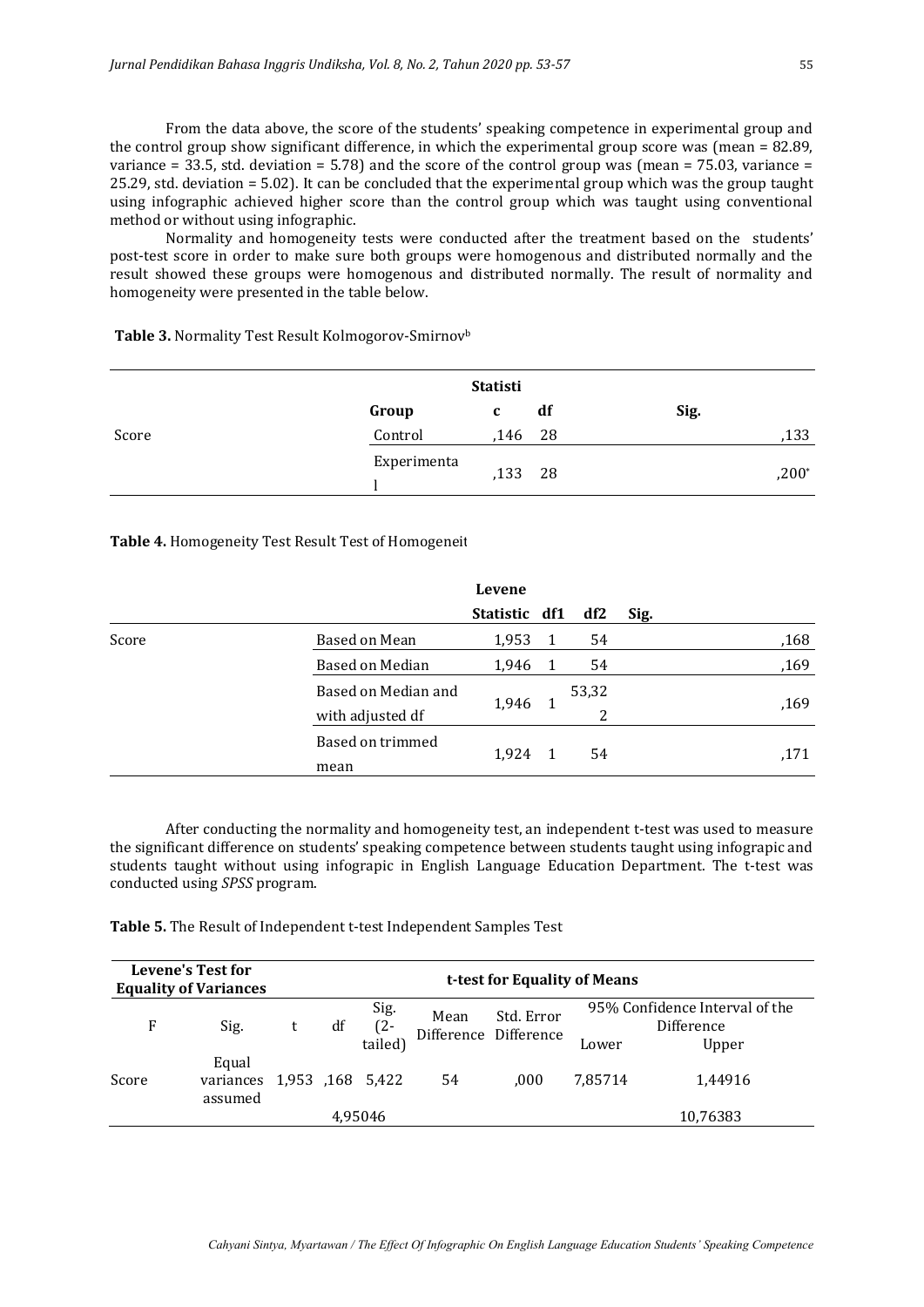From the data above, the score of the students' speaking competence in experimental group and the control group show significant difference, in which the experimental group score was (mean = 82.89, variance = 33.5, std. deviation = 5.78) and the score of the control group was (mean = 75.03, variance = 25.29, std. deviation = 5.02). It can be concluded that the experimental group which was the group taught using infographic achieved higher score than the control group which was taught using conventional method or without using infographic.

Normality and homogeneity tests were conducted after the treatment based on the students' post-test score in order to make sure both groups were homogenous and distributed normally and the result showed these groups were homogenous and distributed normally. The result of normality and homogeneity were presented in the table below.

**Table 3.** Normality Test Result Kolmogorov-Smirnov<sup>b</sup>

|       |             | <b>Statisti</b> |    |      |         |
|-------|-------------|-----------------|----|------|---------|
|       | Group       | c               | df | Sig. |         |
| Score | Control     | $,146$ 28       |    |      | ,133    |
|       | Experimenta | ,133 28         |    |      | $,200*$ |

# Table 4. Homogeneity Test Result Test of Homogeneit

|       |                     | Levene        |       |      |      |
|-------|---------------------|---------------|-------|------|------|
|       |                     | Statistic df1 | df2   | Sig. |      |
| Score | Based on Mean       | 1,953         | 54    |      | ,168 |
|       | Based on Median     | 1,946         | 54    |      | ,169 |
|       | Based on Median and |               | 53,32 |      |      |
|       | with adjusted df    | 1,946         | 2     |      | ,169 |
|       | Based on trimmed    |               |       |      |      |
|       | mean                | 1,924         | 54    |      | ,171 |

After conducting the normality and homogeneity test, an independent t-test was used to measure the significant difference on students' speaking competence between students taught using infograpic and students taught without using infograpic in English Language Education Department. The t-test was conducted using *SPSS* program.

**Table 5.** The Result of Independent t-test Independent Samples Test

|       | <b>Levene's Test for</b><br><b>Equality of Variances</b> | t-test for Equality of Means |    |                        |      |                                     |         |                                                       |  |
|-------|----------------------------------------------------------|------------------------------|----|------------------------|------|-------------------------------------|---------|-------------------------------------------------------|--|
| F     | Sig.                                                     |                              | df | Sig.<br>(2-<br>tailed) | Mean | Std. Error<br>Difference Difference | Lower   | 95% Confidence Interval of the<br>Difference<br>Upper |  |
| Score | Equal<br>variances 1,953 ,168 5,422<br>assumed           |                              |    |                        | 54   | .000                                | 7.85714 | 1.44916                                               |  |
|       |                                                          |                              |    | 4.95046                |      |                                     |         | 10,76383                                              |  |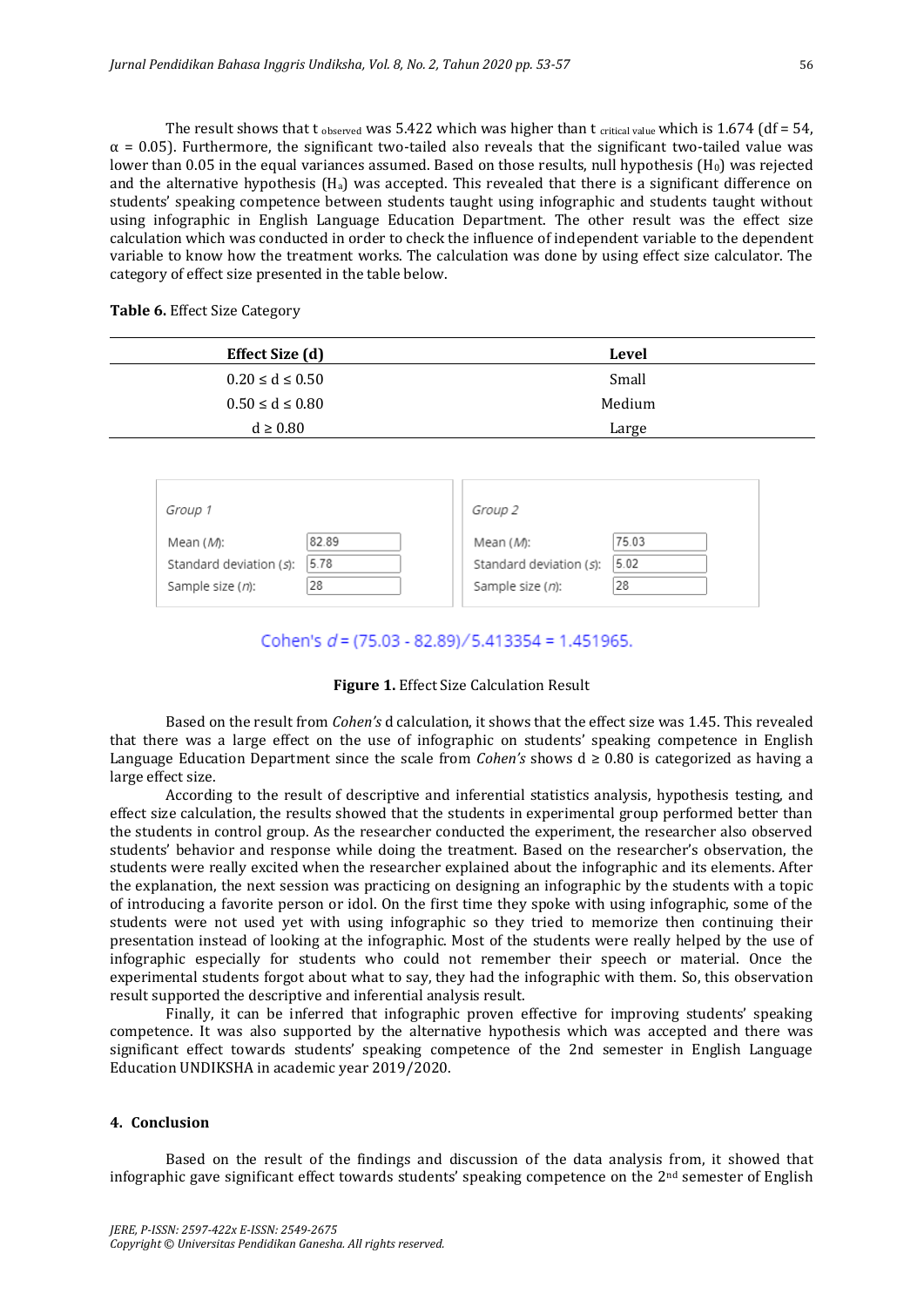The result shows that t observed was 5.422 which was higher than t critical value which is 1.674 (df = 54,  $\alpha$  = 0.05). Furthermore, the significant two-tailed also reveals that the significant two-tailed value was lower than 0.05 in the equal variances assumed. Based on those results, null hypothesis  $(H<sub>0</sub>)$  was rejected and the alternative hypothesis  $(H_a)$  was accepted. This revealed that there is a significant difference on students' speaking competence between students taught using infographic and students taught without using infographic in English Language Education Department. The other result was the effect size calculation which was conducted in order to check the influence of independent variable to the dependent variable to know how the treatment works. The calculation was done by using effect size calculator. The category of effect size presented in the table below.

**Table 6.** Effect Size Category

| <b>Effect Size (d)</b> | Level  |
|------------------------|--------|
| $0.20 \le d \le 0.50$  | Small  |
| $0.50 \le d \le 0.80$  | Medium |
| $d \geq 0.80$          | Large  |

|                                                                                                                                                                                      | Group 1 | Group 2 |  |
|--------------------------------------------------------------------------------------------------------------------------------------------------------------------------------------|---------|---------|--|
| 82.89<br>75.03<br>Mean ( <i>M</i> ):<br>Mean ( <i>M</i> ):<br>5.78<br>5.02<br>Standard deviation (s):<br>Standard deviation (s):<br>28<br>28<br>Sample size (n):<br>Sample size (n): |         |         |  |

# Cohen's  $d = (75.03 - 82.89)/5.413354 = 1.451965.$

#### **Figure 1.** Effect Size Calculation Result

Based on the result from *Cohen's* d calculation, it shows that the effect size was 1.45. This revealed that there was a large effect on the use of infographic on students' speaking competence in English Language Education Department since the scale from *Cohen's* shows d ≥ 0.80 is categorized as having a large effect size.

According to the result of descriptive and inferential statistics analysis, hypothesis testing, and effect size calculation, the results showed that the students in experimental group performed better than the students in control group. As the researcher conducted the experiment, the researcher also observed students' behavior and response while doing the treatment. Based on the researcher's observation, the students were really excited when the researcher explained about the infographic and its elements. After the explanation, the next session was practicing on designing an infographic by the students with a topic of introducing a favorite person or idol. On the first time they spoke with using infographic, some of the students were not used yet with using infographic so they tried to memorize then continuing their presentation instead of looking at the infographic. Most of the students were really helped by the use of infographic especially for students who could not remember their speech or material. Once the experimental students forgot about what to say, they had the infographic with them. So, this observation result supported the descriptive and inferential analysis result.

Finally, it can be inferred that infographic proven effective for improving students' speaking competence. It was also supported by the alternative hypothesis which was accepted and there was significant effect towards students' speaking competence of the 2nd semester in English Language Education UNDIKSHA in academic year 2019/2020.

#### **4. Conclusion**

Based on the result of the findings and discussion of the data analysis from, it showed that infographic gave significant effect towards students' speaking competence on the  $2<sup>nd</sup>$  semester of English